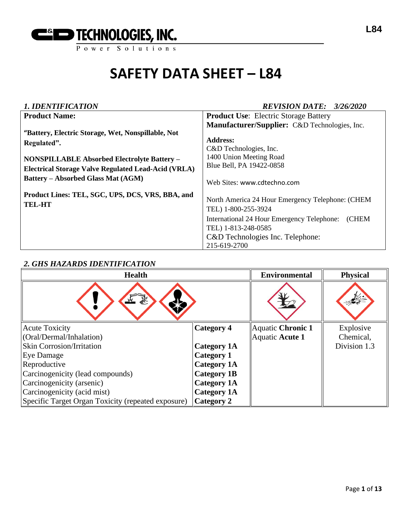

| <b>1. IDENTIFICATION</b>                                   | <b>REVISION DATE: 3/26/2020</b>                     |  |  |
|------------------------------------------------------------|-----------------------------------------------------|--|--|
| <b>Product Name:</b>                                       | <b>Product Use:</b> Electric Storage Battery        |  |  |
|                                                            | Manufacturer/Supplier: C&D Technologies, Inc.       |  |  |
| "Battery, Electric Storage, Wet, Nonspillable, Not         |                                                     |  |  |
| Regulated".                                                | <b>Address:</b>                                     |  |  |
|                                                            | C&D Technologies, Inc.                              |  |  |
| <b>NONSPILLABLE Absorbed Electrolyte Battery -</b>         | 1400 Union Meeting Road                             |  |  |
| <b>Electrical Storage Valve Regulated Lead-Acid (VRLA)</b> | Blue Bell, PA 19422-0858                            |  |  |
| <b>Battery – Absorbed Glass Mat (AGM)</b>                  | Web Sites: www.cdtechno.com                         |  |  |
| Product Lines: TEL, SGC, UPS, DCS, VRS, BBA, and           |                                                     |  |  |
| <b>TEL-HT</b>                                              | North America 24 Hour Emergency Telephone: (CHEM    |  |  |
|                                                            | TEL) 1-800-255-3924                                 |  |  |
|                                                            | (CHEM<br>International 24 Hour Emergency Telephone: |  |  |
|                                                            | TEL) 1-813-248-0585                                 |  |  |
|                                                            | C&D Technologies Inc. Telephone:                    |  |  |
|                                                            | 215-619-2700                                        |  |  |

# *2. GHS HAZARDS IDENTIFICATION*

| <b>Health</b>                                      | <b>Environmental</b> | <b>Physical</b>   |              |
|----------------------------------------------------|----------------------|-------------------|--------------|
|                                                    |                      |                   |              |
| <b>Acute Toxicity</b>                              | <b>Category 4</b>    | Aquatic Chronic 1 | Explosive    |
| (Oral/Dermal/Inhalation)                           |                      | Aquatic Acute 1   | Chemical,    |
| <b>Skin Corrosion/Irritation</b>                   | <b>Category 1A</b>   |                   | Division 1.3 |
| Eye Damage                                         | <b>Category 1</b>    |                   |              |
| Reproductive                                       | <b>Category 1A</b>   |                   |              |
| Carcinogenicity (lead compounds)                   | <b>Category 1B</b>   |                   |              |
| Carcinogenicity (arsenic)                          | <b>Category 1A</b>   |                   |              |
| Carcinogenicity (acid mist)                        | <b>Category 1A</b>   |                   |              |
| Specific Target Organ Toxicity (repeated exposure) | <b>Category 2</b>    |                   |              |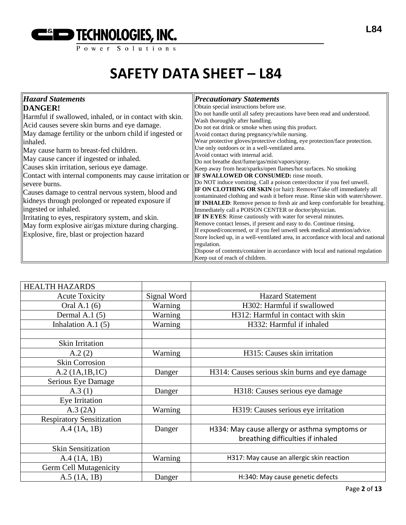

| Obtain special instructions before use.                                                                                                                                                                                                                                                                                                                                                                                                                                                                                                                                                                                                                                                                                                                                                                                                                                                                                                                                                                                                                                                                                                                                                                                                                                                                                                                                                                                                         |
|-------------------------------------------------------------------------------------------------------------------------------------------------------------------------------------------------------------------------------------------------------------------------------------------------------------------------------------------------------------------------------------------------------------------------------------------------------------------------------------------------------------------------------------------------------------------------------------------------------------------------------------------------------------------------------------------------------------------------------------------------------------------------------------------------------------------------------------------------------------------------------------------------------------------------------------------------------------------------------------------------------------------------------------------------------------------------------------------------------------------------------------------------------------------------------------------------------------------------------------------------------------------------------------------------------------------------------------------------------------------------------------------------------------------------------------------------|
| Do not handle until all safety precautions have been read and understood.<br>Wash thoroughly after handling.<br>Do not eat drink or smoke when using this product.<br>Avoid contact during pregnancy/while nursing.<br>Wear protective gloves/protective clothing, eye protection/face protection.<br>Use only outdoors or in a well-ventilated area.<br>Avoid contact with internal acid.<br>Do not breathe dust/fume/gas/mist/vapors/spray.<br>Keep away from heat/sparks/open flames/hot surfaces. No smoking<br>Contact with internal components may cause irritation or $\ \mathbf{IF SWALLOWED OR CONSUMED:}\ $ rinse mouth.<br>Do NOT induce vomiting. Call a poison center/doctor if you feel unwell.<br>IF ON CLOTHING OR SKIN (or hair): Remove/Take off immediately all<br>contaminated clothing and wash it before reuse. Rinse skin with water/shower.<br><b>IF INHALED:</b> Remove person to fresh air and keep comfortable for breathing.<br>Immediately call a POISON CENTER or doctor/physician.<br>IF IN EYES: Rinse cautiously with water for several minutes.<br>Remove contact lenses, if present and easy to do. Continue rinsing.<br>If exposed/concerned, or if you feel unwell seek medical attention/advice.<br>Store locked up, in a well-ventilated area, in accordance with local and national<br>Dispose of contents/container in accordance with local and national regulation<br>Keep out of reach of children. |
|                                                                                                                                                                                                                                                                                                                                                                                                                                                                                                                                                                                                                                                                                                                                                                                                                                                                                                                                                                                                                                                                                                                                                                                                                                                                                                                                                                                                                                                 |

| <b>HEALTH HAZARDS</b>            |             |                                                |
|----------------------------------|-------------|------------------------------------------------|
| <b>Acute Toxicity</b>            | Signal Word | <b>Hazard Statement</b>                        |
| Oral A.1 (6)                     | Warning     | H302: Harmful if swallowed                     |
| Dermal A.1 $(5)$                 | Warning     | H312: Harmful in contact with skin             |
| Inhalation A.1 (5)               | Warning     | H332: Harmful if inhaled                       |
|                                  |             |                                                |
| <b>Skin Irritation</b>           |             |                                                |
| A.2(2)                           | Warning     | H315: Causes skin irritation                   |
| <b>Skin Corrosion</b>            |             |                                                |
| A.2 (1A.1B.1C)                   | Danger      | H314: Causes serious skin burns and eye damage |
| Serious Eye Damage               |             |                                                |
| A.3(1)                           | Danger      | H318: Causes serious eye damage                |
| Eye Irritation                   |             |                                                |
| A.3 (2A)                         | Warning     | H319: Causes serious eye irritation            |
| <b>Respiratory Sensitization</b> |             |                                                |
| $A.4$ (1A, 1B)                   | Danger      | H334: May cause allergy or asthma symptoms or  |
|                                  |             | breathing difficulties if inhaled              |
| <b>Skin Sensitization</b>        |             |                                                |
| A.4 (1A, 1B)                     | Warning     | H317: May cause an allergic skin reaction      |
| Germ Cell Mutagenicity           |             |                                                |
| $A.5$ (1A, 1B)                   | Danger      | H:340: May cause genetic defects               |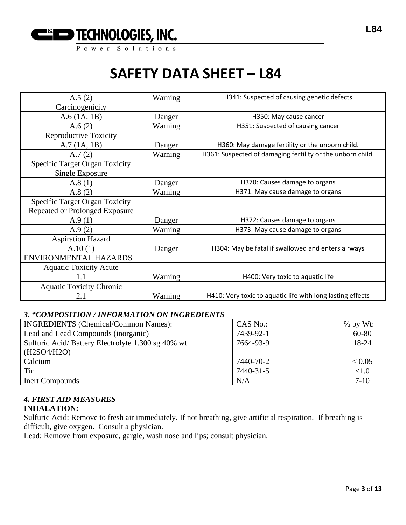

| A.5(2)                                | Warning | H341: Suspected of causing genetic defects                 |
|---------------------------------------|---------|------------------------------------------------------------|
| Carcinogenicity                       |         |                                                            |
| A.6(1A, 1B)                           | Danger  | H350: May cause cancer                                     |
| A.6(2)                                | Warning | H351: Suspected of causing cancer                          |
| <b>Reproductive Toxicity</b>          |         |                                                            |
| A.7(1A, 1B)                           | Danger  | H360: May damage fertility or the unborn child.            |
| A.7(2)                                | Warning | H361: Suspected of damaging fertility or the unborn child. |
| <b>Specific Target Organ Toxicity</b> |         |                                                            |
| Single Exposure                       |         |                                                            |
| A.8(1)                                | Danger  | H370: Causes damage to organs                              |
| A.8(2)                                | Warning | H371: May cause damage to organs                           |
| <b>Specific Target Organ Toxicity</b> |         |                                                            |
| <b>Repeated or Prolonged Exposure</b> |         |                                                            |
| A.9(1)                                | Danger  | H372: Causes damage to organs                              |
| A.9(2)                                | Warning | H373: May cause damage to organs                           |
| <b>Aspiration Hazard</b>              |         |                                                            |
| A.10(1)                               | Danger  | H304: May be fatal if swallowed and enters airways         |
| ENVIRONMENTAL HAZARDS                 |         |                                                            |
| <b>Aquatic Toxicity Acute</b>         |         |                                                            |
| 1.1                                   | Warning | H400: Very toxic to aquatic life                           |
| <b>Aquatic Toxicity Chronic</b>       |         |                                                            |
| 2.1                                   | Warning | H410: Very toxic to aquatic life with long lasting effects |

# *3. \*COMPOSITION / INFORMATION ON INGREDIENTS*

| <b>INGREDIENTS</b> (Chemical/Common Names):       | CAS No.:  | $%$ by Wt: |
|---------------------------------------------------|-----------|------------|
| Lead and Lead Compounds (inorganic)               | 7439-92-1 | 60-80      |
| Sulfuric Acid/Battery Electrolyte 1.300 sg 40% wt | 7664-93-9 | 18-24      |
| (H2SO4/H2O)                                       |           |            |
| Calcium                                           | 7440-70-2 | < 0.05     |
| Tin                                               | 7440-31-5 | < 1.0      |
| <b>Inert Compounds</b>                            | N/A       | $7 - 10$   |

# *4. FIRST AID MEASURES*

# **INHALATION:**

Sulfuric Acid: Remove to fresh air immediately. If not breathing, give artificial respiration. If breathing is difficult, give oxygen. Consult a physician.

Lead: Remove from exposure, gargle, wash nose and lips; consult physician.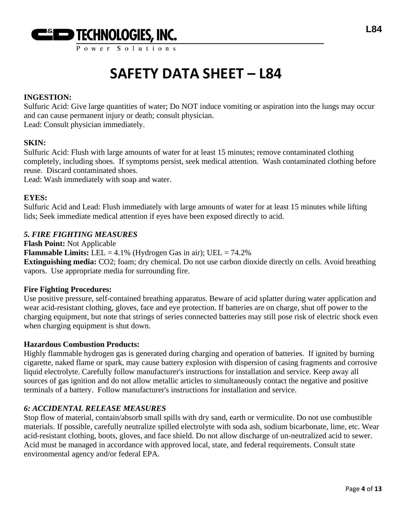

Power Solution

# **SAFETY DATA SHEET – L84**

# **INGESTION:**

Sulfuric Acid: Give large quantities of water; Do NOT induce vomiting or aspiration into the lungs may occur and can cause permanent injury or death; consult physician.

Lead: Consult physician immediately.

## **SKIN:**

Sulfuric Acid: Flush with large amounts of water for at least 15 minutes; remove contaminated clothing completely, including shoes. If symptoms persist, seek medical attention. Wash contaminated clothing before reuse. Discard contaminated shoes.

Lead: Wash immediately with soap and water.

### **EYES:**

Sulfuric Acid and Lead: Flush immediately with large amounts of water for at least 15 minutes while lifting lids; Seek immediate medical attention if eyes have been exposed directly to acid.

## *5. FIRE FIGHTING MEASURES*

**Flash Point:** Not Applicable

**Flammable Limits:** LEL =  $4.1\%$  (Hydrogen Gas in air); UEL =  $74.2\%$ 

**Extinguishing media:** CO2; foam; dry chemical. Do not use carbon dioxide directly on cells. Avoid breathing vapors. Use appropriate media for surrounding fire.

#### **Fire Fighting Procedures:**

Use positive pressure, self-contained breathing apparatus. Beware of acid splatter during water application and wear acid-resistant clothing, gloves, face and eye protection. If batteries are on charge, shut off power to the charging equipment, but note that strings of series connected batteries may still pose risk of electric shock even when charging equipment is shut down.

## **Hazardous Combustion Products:**

Highly flammable hydrogen gas is generated during charging and operation of batteries. If ignited by burning cigarette, naked flame or spark, may cause battery explosion with dispersion of casing fragments and corrosive liquid electrolyte. Carefully follow manufacturer's instructions for installation and service. Keep away all sources of gas ignition and do not allow metallic articles to simultaneously contact the negative and positive terminals of a battery. Follow manufacturer's instructions for installation and service.

## *6: ACCIDENTAL RELEASE MEASURES*

Stop flow of material, contain/absorb small spills with dry sand, earth or vermiculite. Do not use combustible materials. If possible, carefully neutralize spilled electrolyte with soda ash, sodium bicarbonate, lime, etc. Wear acid-resistant clothing, boots, gloves, and face shield. Do not allow discharge of un-neutralized acid to sewer. Acid must be managed in accordance with approved local, state, and federal requirements. Consult state environmental agency and/or federal EPA.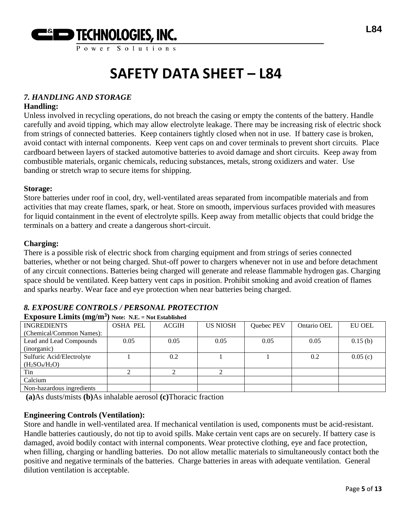

Power Solution

# **SAFETY DATA SHEET – L84**

# *7. HANDLING AND STORAGE*

### **Handling:**

Unless involved in recycling operations, do not breach the casing or empty the contents of the battery. Handle carefully and avoid tipping, which may allow electrolyte leakage. There may be increasing risk of electric shock from strings of connected batteries. Keep containers tightly closed when not in use. If battery case is broken, avoid contact with internal components. Keep vent caps on and cover terminals to prevent short circuits. Place cardboard between layers of stacked automotive batteries to avoid damage and short circuits. Keep away from combustible materials, organic chemicals, reducing substances, metals, strong oxidizers and water. Use banding or stretch wrap to secure items for shipping.

#### **Storage:**

Store batteries under roof in cool, dry, well-ventilated areas separated from incompatible materials and from activities that may create flames, spark, or heat. Store on smooth, impervious surfaces provided with measures for liquid containment in the event of electrolyte spills. Keep away from metallic objects that could bridge the terminals on a battery and create a dangerous short-circuit.

### **Charging:**

There is a possible risk of electric shock from charging equipment and from strings of series connected batteries, whether or not being charged. Shut-off power to chargers whenever not in use and before detachment of any circuit connections. Batteries being charged will generate and release flammable hydrogen gas. Charging space should be ventilated. Keep battery vent caps in position. Prohibit smoking and avoid creation of flames and sparks nearby. Wear face and eye protection when near batteries being charged.

# *8. EXPOSURE CONTROLS / PERSONAL PROTECTION*

| <b>Exposure Limits (mg/m<sup>3</sup>)</b> Note: N.E. = Not Established |                 |              |                 |            |             |         |
|------------------------------------------------------------------------|-----------------|--------------|-----------------|------------|-------------|---------|
| <b>INGREDIENTS</b>                                                     | <b>OSHA PEL</b> | <b>ACGIH</b> | <b>US NIOSH</b> | Quebec PEV | Ontario OEL | EU OEL  |
| (Chemical/Common Names):                                               |                 |              |                 |            |             |         |
| Lead and Lead Compounds                                                | 0.05            | 0.05         | 0.05            | 0.05       | 0.05        | 0.15(b) |
| (inorganic)                                                            |                 |              |                 |            |             |         |
| Sulfuric Acid/Electrolyte                                              |                 | 0.2          |                 |            | 0.2         | 0.05(c) |
| $(H_2SO_4/H_2O)$                                                       |                 |              |                 |            |             |         |
| Tin                                                                    |                 |              |                 |            |             |         |
| Calcium                                                                |                 |              |                 |            |             |         |
| Non-hazardous ingredients                                              |                 |              |                 |            |             |         |
|                                                                        |                 |              |                 |            |             |         |

**(a)**As dusts/mists **(b)**As inhalable aerosol **(c)**Thoracic fraction

## **Engineering Controls (Ventilation):**

Store and handle in well-ventilated area. If mechanical ventilation is used, components must be acid-resistant. Handle batteries cautiously, do not tip to avoid spills. Make certain vent caps are on securely. If battery case is damaged, avoid bodily contact with internal components. Wear protective clothing, eye and face protection, when filling, charging or handling batteries. Do not allow metallic materials to simultaneously contact both the positive and negative terminals of the batteries. Charge batteries in areas with adequate ventilation. General dilution ventilation is acceptable.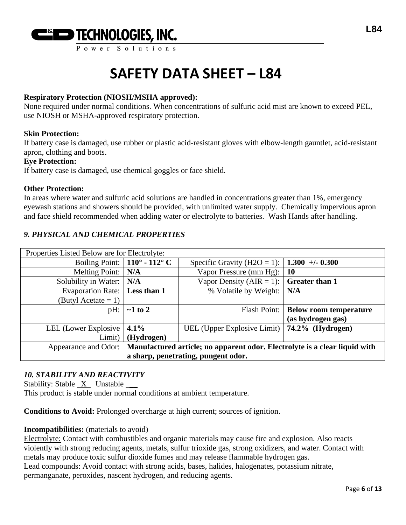

# **Respiratory Protection (NIOSH/MSHA approved):**

None required under normal conditions. When concentrations of sulfuric acid mist are known to exceed PEL, use NIOSH or MSHA-approved respiratory protection.

### **Skin Protection:**

If battery case is damaged, use rubber or plastic acid-resistant gloves with elbow-length gauntlet, acid-resistant apron, clothing and boots.

## **Eye Protection:**

If battery case is damaged, use chemical goggles or face shield.

### **Other Protection:**

In areas where water and sulfuric acid solutions are handled in concentrations greater than 1%, emergency eyewash stations and showers should be provided, with unlimited water supply. Chemically impervious apron and face shield recommended when adding water or electrolyte to batteries. Wash Hands after handling.

# *9. PHYSICAL AND CHEMICAL PROPERTIES*

| Properties Listed Below are for Electrolyte: |                                                                                                 |                                                |                               |  |
|----------------------------------------------|-------------------------------------------------------------------------------------------------|------------------------------------------------|-------------------------------|--|
|                                              | Boiling Point: $\vert$ 110° - 112° C                                                            | Specific Gravity (H2O = 1):                    | $1.300 + 0.300$               |  |
| Melting Point:   N/A                         |                                                                                                 | Vapor Pressure (mm Hg):                        | 10                            |  |
| Solubility in Water: N/A                     |                                                                                                 | Vapor Density (AIR = 1):                       | <b>Greater than 1</b>         |  |
| Evaporation Rate:   Less than 1              |                                                                                                 | % Volatile by Weight:                          | N/A                           |  |
| (Butyl Acetate $= 1$ )                       |                                                                                                 |                                                |                               |  |
| pH:                                          | $\sim$ 1 to 2                                                                                   | Flash Point:                                   | <b>Below room temperature</b> |  |
|                                              |                                                                                                 |                                                | (as hydrogen gas)             |  |
| LEL (Lower Explosive $ 4.1\% $               |                                                                                                 | UEL (Upper Explosive Limit)   74.2% (Hydrogen) |                               |  |
| Limit) $\vert$                               | (Hydrogen)                                                                                      |                                                |                               |  |
|                                              | Appearance and Odor: Manufactured article; no apparent odor. Electrolyte is a clear liquid with |                                                |                               |  |
| a sharp, penetrating, pungent odor.          |                                                                                                 |                                                |                               |  |

## *10. STABILITY AND REACTIVITY*

Stability: Stable X Unstable \_\_

This product is stable under normal conditions at ambient temperature.

**Conditions to Avoid:** Prolonged overcharge at high current; sources of ignition.

#### **Incompatibilities:** (materials to avoid)

Electrolyte: Contact with combustibles and organic materials may cause fire and explosion. Also reacts violently with strong reducing agents, metals, sulfur trioxide gas, strong oxidizers, and water. Contact with metals may produce toxic sulfur dioxide fumes and may release flammable hydrogen gas. Lead compounds: Avoid contact with strong acids, bases, halides, halogenates, potassium nitrate, permanganate, peroxides, nascent hydrogen, and reducing agents.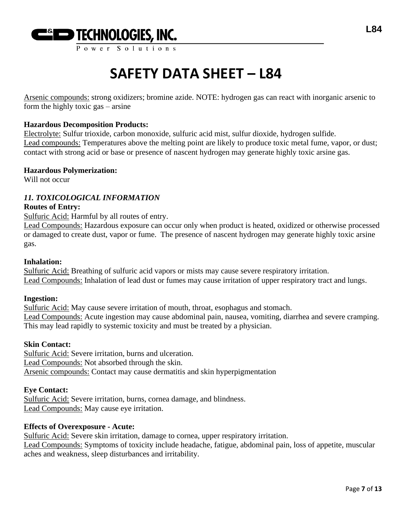

Arsenic compounds: strong oxidizers; bromine azide. NOTE: hydrogen gas can react with inorganic arsenic to form the highly toxic gas – arsine

## **Hazardous Decomposition Products:**

Electrolyte: Sulfur trioxide, carbon monoxide, sulfuric acid mist, sulfur dioxide, hydrogen sulfide. Lead compounds: Temperatures above the melting point are likely to produce toxic metal fume, vapor, or dust; contact with strong acid or base or presence of nascent hydrogen may generate highly toxic arsine gas.

#### **Hazardous Polymerization:**

Will not occur

## *11. TOXICOLOGICAL INFORMATION*

#### **Routes of Entry:**

Sulfuric Acid: Harmful by all routes of entry.

Lead Compounds: Hazardous exposure can occur only when product is heated, oxidized or otherwise processed or damaged to create dust, vapor or fume. The presence of nascent hydrogen may generate highly toxic arsine gas.

### **Inhalation:**

Sulfuric Acid: Breathing of sulfuric acid vapors or mists may cause severe respiratory irritation. Lead Compounds: Inhalation of lead dust or fumes may cause irritation of upper respiratory tract and lungs.

#### **Ingestion:**

Sulfuric Acid: May cause severe irritation of mouth, throat, esophagus and stomach. Lead Compounds: Acute ingestion may cause abdominal pain, nausea, vomiting, diarrhea and severe cramping. This may lead rapidly to systemic toxicity and must be treated by a physician.

# **Skin Contact:**

Sulfuric Acid: Severe irritation, burns and ulceration. Lead Compounds: Not absorbed through the skin. Arsenic compounds: Contact may cause dermatitis and skin hyperpigmentation

#### **Eye Contact:**

Sulfuric Acid: Severe irritation, burns, cornea damage, and blindness. Lead Compounds: May cause eye irritation.

## **Effects of Overexposure - Acute:**

Sulfuric Acid: Severe skin irritation, damage to cornea, upper respiratory irritation. Lead Compounds: Symptoms of toxicity include headache, fatigue, abdominal pain, loss of appetite, muscular aches and weakness, sleep disturbances and irritability.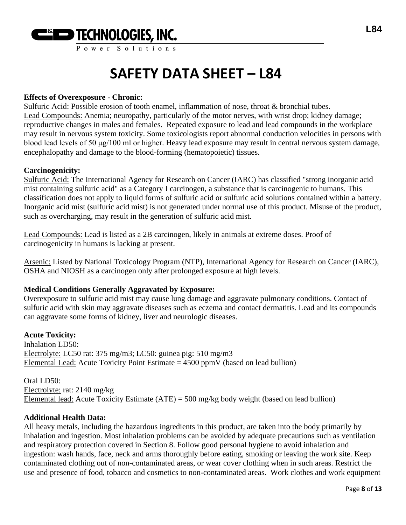

# **Effects of Overexposure - Chronic:**

Sulfuric Acid: Possible erosion of tooth enamel, inflammation of nose, throat & bronchial tubes. Lead Compounds: Anemia; neuropathy, particularly of the motor nerves, with wrist drop; kidney damage; reproductive changes in males and females. Repeated exposure to lead and lead compounds in the workplace may result in nervous system toxicity. Some toxicologists report abnormal conduction velocities in persons with blood lead levels of 50 μg/100 ml or higher. Heavy lead exposure may result in central nervous system damage, encephalopathy and damage to the blood-forming (hematopoietic) tissues.

### **Carcinogenicity:**

Sulfuric Acid: The International Agency for Research on Cancer (IARC) has classified "strong inorganic acid mist containing sulfuric acid" as a Category I carcinogen, a substance that is carcinogenic to humans. This classification does not apply to liquid forms of sulfuric acid or sulfuric acid solutions contained within a battery. Inorganic acid mist (sulfuric acid mist) is not generated under normal use of this product. Misuse of the product, such as overcharging, may result in the generation of sulfuric acid mist.

Lead Compounds: Lead is listed as a 2B carcinogen, likely in animals at extreme doses. Proof of carcinogenicity in humans is lacking at present.

Arsenic: Listed by National Toxicology Program (NTP), International Agency for Research on Cancer (IARC), OSHA and NIOSH as a carcinogen only after prolonged exposure at high levels.

## **Medical Conditions Generally Aggravated by Exposure:**

Overexposure to sulfuric acid mist may cause lung damage and aggravate pulmonary conditions. Contact of sulfuric acid with skin may aggravate diseases such as eczema and contact dermatitis. Lead and its compounds can aggravate some forms of kidney, liver and neurologic diseases.

## **Acute Toxicity:**

Inhalation LD50: Electrolyte: LC50 rat: 375 mg/m3; LC50: guinea pig: 510 mg/m3 Elemental Lead: Acute Toxicity Point Estimate  $= 4500$  ppmV (based on lead bullion)

Oral LD50: Electrolyte: rat: 2140 mg/kg Elemental lead: Acute Toxicity Estimate (ATE) = 500 mg/kg body weight (based on lead bullion)

#### **Additional Health Data:**

All heavy metals, including the hazardous ingredients in this product, are taken into the body primarily by inhalation and ingestion. Most inhalation problems can be avoided by adequate precautions such as ventilation and respiratory protection covered in Section 8. Follow good personal hygiene to avoid inhalation and ingestion: wash hands, face, neck and arms thoroughly before eating, smoking or leaving the work site. Keep contaminated clothing out of non-contaminated areas, or wear cover clothing when in such areas. Restrict the use and presence of food, tobacco and cosmetics to non-contaminated areas. Work clothes and work equipment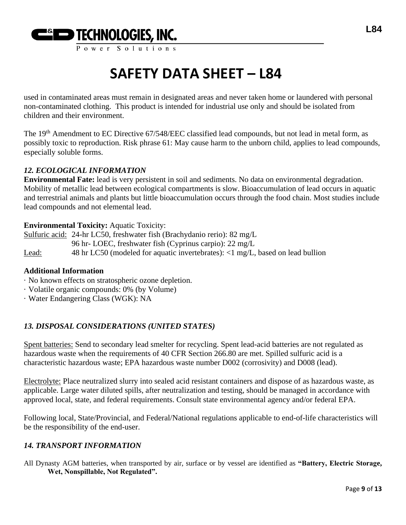

used in contaminated areas must remain in designated areas and never taken home or laundered with personal non-contaminated clothing. This product is intended for industrial use only and should be isolated from children and their environment.

The 19<sup>th</sup> Amendment to EC Directive 67/548/EEC classified lead compounds, but not lead in metal form, as possibly toxic to reproduction. Risk phrase 61: May cause harm to the unborn child, applies to lead compounds, especially soluble forms.

# *12. ECOLOGICAL INFORMATION*

**Environmental Fate:** lead is very persistent in soil and sediments. No data on environmental degradation. Mobility of metallic lead between ecological compartments is slow. Bioaccumulation of lead occurs in aquatic and terrestrial animals and plants but little bioaccumulation occurs through the food chain. Most studies include lead compounds and not elemental lead.

# **Environmental Toxicity:** Aquatic Toxicity:

Sulfuric acid: 24-hr LC50, freshwater fish (Brachydanio rerio): 82 mg/L 96 hr- LOEC, freshwater fish (Cyprinus carpio): 22 mg/L Lead: 48 hr LC50 (modeled for aquatic invertebrates): <1 mg/L, based on lead bullion

## **Additional Information**

- · No known effects on stratospheric ozone depletion.
- · Volatile organic compounds: 0% (by Volume)
- · Water Endangering Class (WGK): NA

# *13. DISPOSAL CONSIDERATIONS (UNITED STATES)*

Spent batteries: Send to secondary lead smelter for recycling. Spent lead-acid batteries are not regulated as hazardous waste when the requirements of 40 CFR Section 266.80 are met. Spilled sulfuric acid is a characteristic hazardous waste; EPA hazardous waste number D002 (corrosivity) and D008 (lead).

Electrolyte: Place neutralized slurry into sealed acid resistant containers and dispose of as hazardous waste, as applicable. Large water diluted spills, after neutralization and testing, should be managed in accordance with approved local, state, and federal requirements. Consult state environmental agency and/or federal EPA.

Following local, State/Provincial, and Federal/National regulations applicable to end-of-life characteristics will be the responsibility of the end-user.

# *14. TRANSPORT INFORMATION*

All Dynasty AGM batteries, when transported by air, surface or by vessel are identified as **"Battery, Electric Storage, Wet, Nonspillable, Not Regulated".**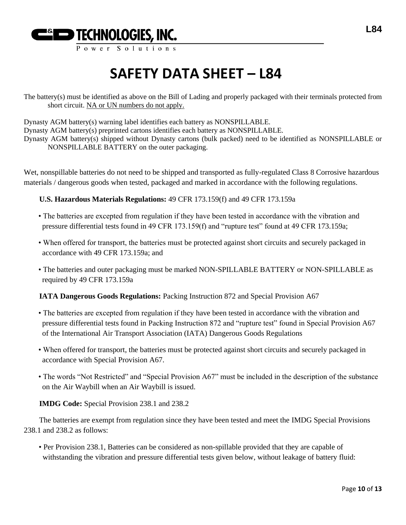

The battery(s) must be identified as above on the Bill of Lading and properly packaged with their terminals protected from short circuit. NA or UN numbers do not apply.

Dynasty AGM battery(s) warning label identifies each battery as NONSPILLABLE. Dynasty AGM battery(s) preprinted cartons identifies each battery as NONSPILLABLE. Dynasty AGM battery(s) shipped without Dynasty cartons (bulk packed) need to be identified as NONSPILLABLE or NONSPILLABLE BATTERY on the outer packaging.

Wet, nonspillable batteries do not need to be shipped and transported as fully-regulated Class 8 Corrosive hazardous materials / dangerous goods when tested, packaged and marked in accordance with the following regulations.

**U.S. Hazardous Materials Regulations:** 49 CFR 173.159(f) and 49 CFR 173.159a

- The batteries are excepted from regulation if they have been tested in accordance with the vibration and pressure differential tests found in 49 CFR 173.159(f) and "rupture test" found at 49 CFR 173.159a;
- When offered for transport, the batteries must be protected against short circuits and securely packaged in accordance with 49 CFR 173.159a; and
- The batteries and outer packaging must be marked NON-SPILLABLE BATTERY or NON-SPILLABLE as required by 49 CFR 173.159a

**IATA Dangerous Goods Regulations:** Packing Instruction 872 and Special Provision A67

- The batteries are excepted from regulation if they have been tested in accordance with the vibration and pressure differential tests found in Packing Instruction 872 and "rupture test" found in Special Provision A67 of the International Air Transport Association (IATA) Dangerous Goods Regulations
- When offered for transport, the batteries must be protected against short circuits and securely packaged in accordance with Special Provision A67.
- The words "Not Restricted" and "Special Provision A67" must be included in the description of the substance on the Air Waybill when an Air Waybill is issued.

**IMDG Code:** Special Provision 238.1 and 238.2

The batteries are exempt from regulation since they have been tested and meet the IMDG Special Provisions 238.1 and 238.2 as follows:

• Per Provision 238.1, Batteries can be considered as non-spillable provided that they are capable of withstanding the vibration and pressure differential tests given below, without leakage of battery fluid: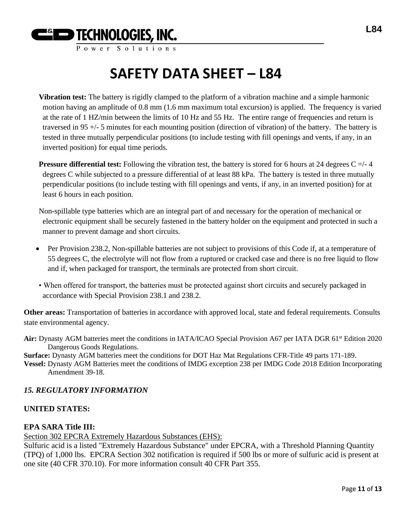

**Vibration test:** The battery is rigidly clamped to the platform of a vibration machine and a simple harmonic motion having an amplitude of 0.8 mm (1.6 mm maximum total excursion) is applied. The frequency is varied at the rate of 1 HZ/min between the limits of 10 Hz and 55 Hz. The entire range of frequencies and return is traversed in 95 +/- 5 minutes for each mounting position (direction of vibration) of the battery. The battery is tested in three mutually perpendicular positions (to include testing with fill openings and vents, if any, in an inverted position) for equal time periods.

**Pressure differential test:** Following the vibration test, the battery is stored for 6 hours at 24 degrees  $C = /-4$ degrees C while subjected to a pressure differential of at least 88 kPa. The battery is tested in three mutually perpendicular positions (to include testing with fill openings and vents, if any, in an inverted position) for at least 6 hours in each position.

Non-spillable type batteries which are an integral part of and necessary for the operation of mechanical or electronic equipment shall be securely fastened in the battery holder on the equipment and protected in such a manner to prevent damage and short circuits.

- Per Provision 238.2, Non-spillable batteries are not subject to provisions of this Code if, at a temperature of 55 degrees C, the electrolyte will not flow from a ruptured or cracked case and there is no free liquid to flow and if, when packaged for transport, the terminals are protected from short circuit.
- When offered for transport, the batteries must be protected against short circuits and securely packaged in accordance with Special Provision 238.1 and 238.2.

**Other areas:** Transportation of batteries in accordance with approved local, state and federal requirements. Consults state environmental agency.

Air: Dynasty AGM batteries meet the conditions in IATA/ICAO Special Provision A67 per IATA DGR 61<sup>st</sup> Edition 2020 Dangerous Goods Regulations.

**Surface:** Dynasty AGM batteries meet the conditions for DOT Haz Mat Regulations CFR-Title 49 parts 171-189.

**Vessel:** Dynasty AGM Batteries meet the conditions of IMDG exception 238 per IMDG Code 2018 Edition Incorporating Amendment 39-18.

# *15. REGULATORY INFORMATION*

# **UNITED STATES:**

# **EPA SARA Title III:**

Section 302 EPCRA Extremely Hazardous Substances (EHS):

Sulfuric acid is a listed "Extremely Hazardous Substance" under EPCRA, with a Threshold Planning Quantity (TPQ) of 1,000 lbs. EPCRA Section 302 notification is required if 500 lbs or more of sulfuric acid is present at one site (40 CFR 370.10). For more information consult 40 CFR Part 355.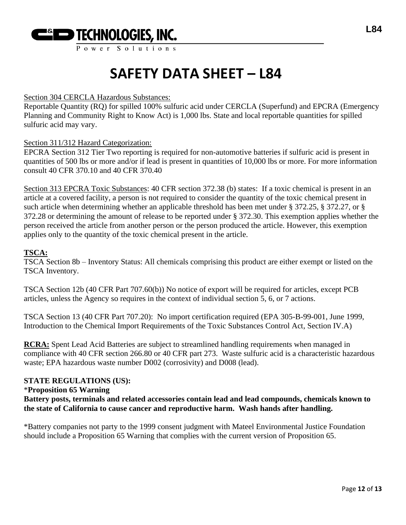

Power Solution

# **SAFETY DATA SHEET – L84**

### Section 304 CERCLA Hazardous Substances:

Reportable Quantity (RQ) for spilled 100% sulfuric acid under CERCLA (Superfund) and EPCRA (Emergency Planning and Community Right to Know Act) is 1,000 lbs. State and local reportable quantities for spilled sulfuric acid may vary.

### Section 311/312 Hazard Categorization:

EPCRA Section 312 Tier Two reporting is required for non-automotive batteries if sulfuric acid is present in quantities of 500 lbs or more and/or if lead is present in quantities of 10,000 lbs or more. For more information consult 40 CFR 370.10 and 40 CFR 370.40

Section 313 EPCRA Toxic Substances: 40 CFR section 372.38 (b) states: If a toxic chemical is present in an article at a covered facility, a person is not required to consider the quantity of the toxic chemical present in such article when determining whether an applicable threshold has been met under § 372.25, § 372.27, or § 372.28 or determining the amount of release to be reported under § 372.30. This exemption applies whether the person received the article from another person or the person produced the article. However, this exemption applies only to the quantity of the toxic chemical present in the article.

### **TSCA:**

TSCA Section 8b – Inventory Status: All chemicals comprising this product are either exempt or listed on the TSCA Inventory.

TSCA Section 12b (40 CFR Part 707.60(b)) No notice of export will be required for articles, except PCB articles, unless the Agency so requires in the context of individual section 5, 6, or 7 actions.

TSCA Section 13 (40 CFR Part 707.20): No import certification required (EPA 305-B-99-001, June 1999, Introduction to the Chemical Import Requirements of the Toxic Substances Control Act, Section IV.A)

**RCRA:** Spent Lead Acid Batteries are subject to streamlined handling requirements when managed in compliance with 40 CFR section 266.80 or 40 CFR part 273. Waste sulfuric acid is a characteristic hazardous waste; EPA hazardous waste number D002 (corrosivity) and D008 (lead).

# **STATE REGULATIONS (US):**

#### \***Proposition 65 Warning**

**Battery posts, terminals and related accessories contain lead and lead compounds, chemicals known to the state of California to cause cancer and reproductive harm. Wash hands after handling.**

\*Battery companies not party to the 1999 consent judgment with Mateel Environmental Justice Foundation should include a Proposition 65 Warning that complies with the current version of Proposition 65.